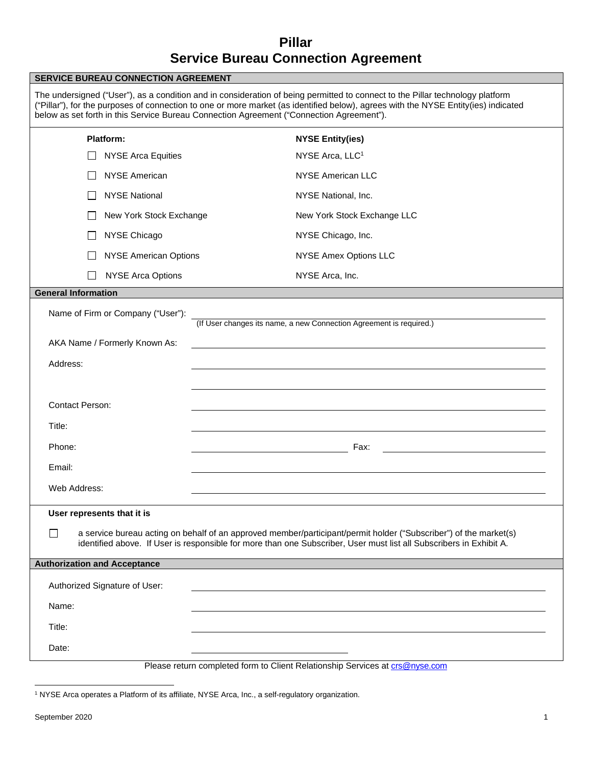# **Pillar Service Bureau Connection Agreement**

| <b>SERVICE BUREAU CONNECTION AGREEMENT</b>                                                               |                               |                                                                                                                                                                                                                                                                                                                                                                 |  |  |
|----------------------------------------------------------------------------------------------------------|-------------------------------|-----------------------------------------------------------------------------------------------------------------------------------------------------------------------------------------------------------------------------------------------------------------------------------------------------------------------------------------------------------------|--|--|
|                                                                                                          |                               | The undersigned ("User"), as a condition and in consideration of being permitted to connect to the Pillar technology platform<br>("Pillar"), for the purposes of connection to one or more market (as identified below), agrees with the NYSE Entity(ies) indicated<br>below as set forth in this Service Bureau Connection Agreement ("Connection Agreement"). |  |  |
|                                                                                                          | Platform:                     | <b>NYSE Entity(ies)</b>                                                                                                                                                                                                                                                                                                                                         |  |  |
|                                                                                                          | <b>NYSE Arca Equities</b>     | NYSE Arca, LLC <sup>1</sup>                                                                                                                                                                                                                                                                                                                                     |  |  |
|                                                                                                          | <b>NYSE American</b>          | <b>NYSE American LLC</b>                                                                                                                                                                                                                                                                                                                                        |  |  |
|                                                                                                          | <b>NYSE National</b>          | NYSE National, Inc.                                                                                                                                                                                                                                                                                                                                             |  |  |
|                                                                                                          | New York Stock Exchange       | New York Stock Exchange LLC                                                                                                                                                                                                                                                                                                                                     |  |  |
|                                                                                                          | NYSE Chicago                  | NYSE Chicago, Inc.                                                                                                                                                                                                                                                                                                                                              |  |  |
|                                                                                                          | <b>NYSE American Options</b>  | NYSE Amex Options LLC                                                                                                                                                                                                                                                                                                                                           |  |  |
|                                                                                                          | <b>NYSE Arca Options</b>      | NYSE Arca, Inc.                                                                                                                                                                                                                                                                                                                                                 |  |  |
| <b>General Information</b>                                                                               |                               |                                                                                                                                                                                                                                                                                                                                                                 |  |  |
| Name of Firm or Company ("User"):<br>(If User changes its name, a new Connection Agreement is required.) |                               |                                                                                                                                                                                                                                                                                                                                                                 |  |  |
| AKA Name / Formerly Known As:                                                                            |                               |                                                                                                                                                                                                                                                                                                                                                                 |  |  |
| Address:                                                                                                 |                               |                                                                                                                                                                                                                                                                                                                                                                 |  |  |
|                                                                                                          |                               |                                                                                                                                                                                                                                                                                                                                                                 |  |  |
| <b>Contact Person:</b>                                                                                   |                               |                                                                                                                                                                                                                                                                                                                                                                 |  |  |
| Title:                                                                                                   |                               |                                                                                                                                                                                                                                                                                                                                                                 |  |  |
| Phone:                                                                                                   |                               | Fax:                                                                                                                                                                                                                                                                                                                                                            |  |  |
| Email:                                                                                                   |                               |                                                                                                                                                                                                                                                                                                                                                                 |  |  |
| Web Address:                                                                                             |                               |                                                                                                                                                                                                                                                                                                                                                                 |  |  |
|                                                                                                          | User represents that it is    |                                                                                                                                                                                                                                                                                                                                                                 |  |  |
| $\perp$                                                                                                  |                               | a service bureau acting on behalf of an approved member/participant/permit holder ("Subscriber") of the market(s)<br>identified above. If User is responsible for more than one Subscriber, User must list all Subscribers in Exhibit A.                                                                                                                        |  |  |
| <b>Authorization and Acceptance</b>                                                                      |                               |                                                                                                                                                                                                                                                                                                                                                                 |  |  |
|                                                                                                          | Authorized Signature of User: |                                                                                                                                                                                                                                                                                                                                                                 |  |  |
| Name:                                                                                                    |                               |                                                                                                                                                                                                                                                                                                                                                                 |  |  |
| Title:                                                                                                   |                               |                                                                                                                                                                                                                                                                                                                                                                 |  |  |
| Date:                                                                                                    |                               |                                                                                                                                                                                                                                                                                                                                                                 |  |  |
|                                                                                                          |                               | Please return completed form to Client Relationship Services at crs@pyse.com                                                                                                                                                                                                                                                                                    |  |  |

Please return completed form to Client Relationship Services at crs@nyse.com

<sup>1</sup> NYSE Arca operates a Platform of its affiliate, NYSE Arca, Inc., a self-regulatory organization.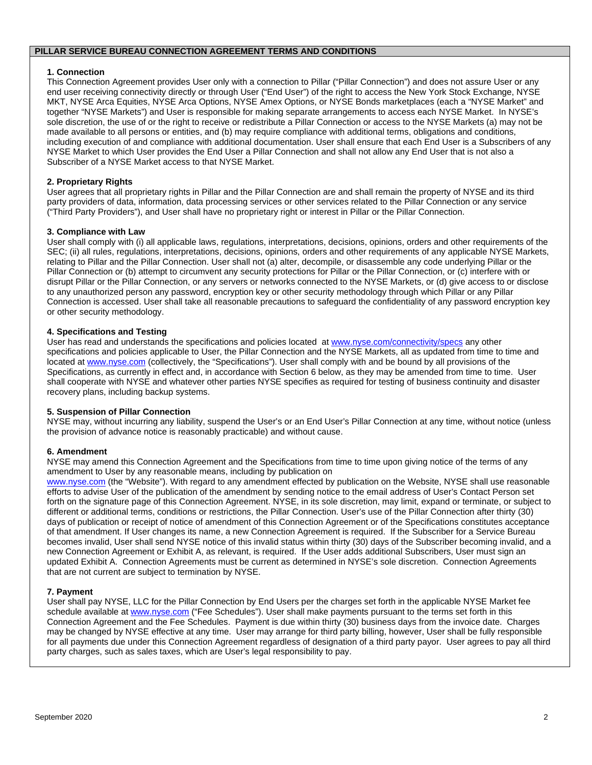#### **PILLAR SERVICE BUREAU CONNECTION AGREEMENT TERMS AND CONDITIONS**

### **1. Connection**

This Connection Agreement provides User only with a connection to Pillar ("Pillar Connection") and does not assure User or any end user receiving connectivity directly or through User ("End User") of the right to access the New York Stock Exchange, NYSE MKT, NYSE Arca Equities, NYSE Arca Options, NYSE Amex Options, or NYSE Bonds marketplaces (each a "NYSE Market" and together "NYSE Markets") and User is responsible for making separate arrangements to access each NYSE Market. In NYSE's sole discretion, the use of or the right to receive or redistribute a Pillar Connection or access to the NYSE Markets (a) may not be made available to all persons or entities, and (b) may require compliance with additional terms, obligations and conditions, including execution of and compliance with additional documentation. User shall ensure that each End User is a Subscribers of any NYSE Market to which User provides the End User a Pillar Connection and shall not allow any End User that is not also a Subscriber of a NYSE Market access to that NYSE Market.

## **2. Proprietary Rights**

User agrees that all proprietary rights in Pillar and the Pillar Connection are and shall remain the property of NYSE and its third party providers of data, information, data processing services or other services related to the Pillar Connection or any service ("Third Party Providers"), and User shall have no proprietary right or interest in Pillar or the Pillar Connection.

#### **3. Compliance with Law**

User shall comply with (i) all applicable laws, regulations, interpretations, decisions, opinions, orders and other requirements of the SEC; (ii) all rules, regulations, interpretations, decisions, opinions, orders and other requirements of any applicable NYSE Markets, relating to Pillar and the Pillar Connection. User shall not (a) alter, decompile, or disassemble any code underlying Pillar or the Pillar Connection or (b) attempt to circumvent any security protections for Pillar or the Pillar Connection, or (c) interfere with or disrupt Pillar or the Pillar Connection, or any servers or networks connected to the NYSE Markets, or (d) give access to or disclose to any unauthorized person any password, encryption key or other security methodology through which Pillar or any Pillar Connection is accessed. User shall take all reasonable precautions to safeguard the confidentiality of any password encryption key or other security methodology.

#### **4. Specifications and Testing**

User has read and understands the specifications and policies located at www.nyse.com/connectivity/specs any other specifications and policies applicable to User, the Pillar Connection and the NYSE Markets, all as updated from time to time and located at www.nyse.com (collectively, the "Specifications"). User shall comply with and be bound by all provisions of the Specifications, as currently in effect and, in accordance with Section 6 below, as they may be amended from time to time. User shall cooperate with NYSE and whatever other parties NYSE specifies as required for testing of business continuity and disaster recovery plans, including backup systems.

#### **5. Suspension of Pillar Connection**

NYSE may, without incurring any liability, suspend the User's or an End User's Pillar Connection at any time, without notice (unless the provision of advance notice is reasonably practicable) and without cause.

#### **6. Amendment**

NYSE may amend this Connection Agreement and the Specifications from time to time upon giving notice of the terms of any amendment to User by any reasonable means, including by publication on

www.nyse.com (the "Website"). With regard to any amendment effected by publication on the Website, NYSE shall use reasonable efforts to advise User of the publication of the amendment by sending notice to the email address of User's Contact Person set forth on the signature page of this Connection Agreement. NYSE, in its sole discretion, may limit, expand or terminate, or subject to different or additional terms, conditions or restrictions, the Pillar Connection. User's use of the Pillar Connection after thirty (30) days of publication or receipt of notice of amendment of this Connection Agreement or of the Specifications constitutes acceptance of that amendment. If User changes its name, a new Connection Agreement is required. If the Subscriber for a Service Bureau becomes invalid, User shall send NYSE notice of this invalid status within thirty (30) days of the Subscriber becoming invalid, and a new Connection Agreement or Exhibit A, as relevant, is required. If the User adds additional Subscribers, User must sign an updated Exhibit A. Connection Agreements must be current as determined in NYSE's sole discretion. Connection Agreements that are not current are subject to termination by NYSE.

#### **7. Payment**

User shall pay NYSE, LLC for the Pillar Connection by End Users per the charges set forth in the applicable NYSE Market fee schedule available at www.nyse.com ("Fee Schedules"). User shall make payments pursuant to the terms set forth in this Connection Agreement and the Fee Schedules. Payment is due within thirty (30) business days from the invoice date. Charges may be changed by NYSE effective at any time. User may arrange for third party billing, however, User shall be fully responsible for all payments due under this Connection Agreement regardless of designation of a third party payor. User agrees to pay all third party charges, such as sales taxes, which are User's legal responsibility to pay.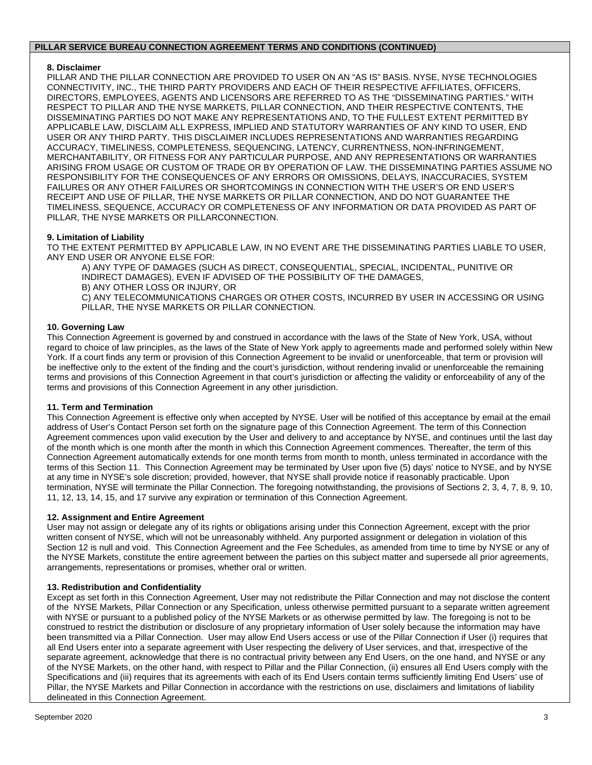#### **PILLAR SERVICE BUREAU CONNECTION AGREEMENT TERMS AND CONDITIONS (CONTINUED)**

## **8. Disclaimer**

PILLAR AND THE PILLAR CONNECTION ARE PROVIDED TO USER ON AN "AS IS" BASIS. NYSE, NYSE TECHNOLOGIES CONNECTIVITY, INC., THE THIRD PARTY PROVIDERS AND EACH OF THEIR RESPECTIVE AFFILIATES, OFFICERS, DIRECTORS, EMPLOYEES, AGENTS AND LICENSORS ARE REFERRED TO AS THE "DISSEMINATING PARTIES." WITH RESPECT TO PILLAR AND THE NYSE MARKETS, PILLAR CONNECTION, AND THEIR RESPECTIVE CONTENTS, THE DISSEMINATING PARTIES DO NOT MAKE ANY REPRESENTATIONS AND, TO THE FULLEST EXTENT PERMITTED BY APPLICABLE LAW, DISCLAIM ALL EXPRESS, IMPLIED AND STATUTORY WARRANTIES OF ANY KIND TO USER, END USER OR ANY THIRD PARTY. THIS DISCLAIMER INCLUDES REPRESENTATIONS AND WARRANTIES REGARDING ACCURACY, TIMELINESS, COMPLETENESS, SEQUENCING, LATENCY, CURRENTNESS, NON-INFRINGEMENT, MERCHANTABILITY, OR FITNESS FOR ANY PARTICULAR PURPOSE, AND ANY REPRESENTATIONS OR WARRANTIES ARISING FROM USAGE OR CUSTOM OF TRADE OR BY OPERATION OF LAW. THE DISSEMINATING PARTIES ASSUME NO RESPONSIBILITY FOR THE CONSEQUENCES OF ANY ERRORS OR OMISSIONS, DELAYS, INACCURACIES, SYSTEM FAILURES OR ANY OTHER FAILURES OR SHORTCOMINGS IN CONNECTION WITH THE USER'S OR END USER'S RECEIPT AND USE OF PILLAR, THE NYSE MARKETS OR PILLAR CONNECTION, AND DO NOT GUARANTEE THE TIMELINESS, SEQUENCE, ACCURACY OR COMPLETENESS OF ANY INFORMATION OR DATA PROVIDED AS PART OF PILLAR, THE NYSE MARKETS OR PILLARCONNECTION.

## **9. Limitation of Liability**

TO THE EXTENT PERMITTED BY APPLICABLE LAW, IN NO EVENT ARE THE DISSEMINATING PARTIES LIABLE TO USER, ANY END USER OR ANYONE ELSE FOR:

A) ANY TYPE OF DAMAGES (SUCH AS DIRECT, CONSEQUENTIAL, SPECIAL, INCIDENTAL, PUNITIVE OR INDIRECT DAMAGES), EVEN IF ADVISED OF THE POSSIBILITY OF THE DAMAGES, B) ANY OTHER LOSS OR INJURY, OR

C) ANY TELECOMMUNICATIONS CHARGES OR OTHER COSTS, INCURRED BY USER IN ACCESSING OR USING PILLAR, THE NYSE MARKETS OR PILLAR CONNECTION.

## **10. Governing Law**

This Connection Agreement is governed by and construed in accordance with the laws of the State of New York, USA, without regard to choice of law principles, as the laws of the State of New York apply to agreements made and performed solely within New York. If a court finds any term or provision of this Connection Agreement to be invalid or unenforceable, that term or provision will be ineffective only to the extent of the finding and the court's jurisdiction, without rendering invalid or unenforceable the remaining terms and provisions of this Connection Agreement in that court's jurisdiction or affecting the validity or enforceability of any of the terms and provisions of this Connection Agreement in any other jurisdiction.

#### **11. Term and Termination**

This Connection Agreement is effective only when accepted by NYSE. User will be notified of this acceptance by email at the email address of User's Contact Person set forth on the signature page of this Connection Agreement. The term of this Connection Agreement commences upon valid execution by the User and delivery to and acceptance by NYSE, and continues until the last day of the month which is one month after the month in which this Connection Agreement commences. Thereafter, the term of this Connection Agreement automatically extends for one month terms from month to month, unless terminated in accordance with the terms of this Section 11. This Connection Agreement may be terminated by User upon five (5) days' notice to NYSE, and by NYSE at any time in NYSE's sole discretion; provided, however, that NYSE shall provide notice if reasonably practicable. Upon termination, NYSE will terminate the Pillar Connection. The foregoing notwithstanding, the provisions of Sections 2, 3, 4, 7, 8, 9, 10, 11, 12, 13, 14, 15, and 17 survive any expiration or termination of this Connection Agreement.

## **12. Assignment and Entire Agreement**

User may not assign or delegate any of its rights or obligations arising under this Connection Agreement, except with the prior written consent of NYSE, which will not be unreasonably withheld. Any purported assignment or delegation in violation of this Section 12 is null and void. This Connection Agreement and the Fee Schedules, as amended from time to time by NYSE or any of the NYSE Markets, constitute the entire agreement between the parties on this subject matter and supersede all prior agreements, arrangements, representations or promises, whether oral or written.

#### **13. Redistribution and Confidentiality**

Except as set forth in this Connection Agreement, User may not redistribute the Pillar Connection and may not disclose the content of the NYSE Markets, Pillar Connection or any Specification, unless otherwise permitted pursuant to a separate written agreement with NYSE or pursuant to a published policy of the NYSE Markets or as otherwise permitted by law. The foregoing is not to be construed to restrict the distribution or disclosure of any proprietary information of User solely because the information may have been transmitted via a Pillar Connection. User may allow End Users access or use of the Pillar Connection if User (i) requires that all End Users enter into a separate agreement with User respecting the delivery of User services, and that, irrespective of the separate agreement, acknowledge that there is no contractual privity between any End Users, on the one hand, and NYSE or any of the NYSE Markets, on the other hand, with respect to Pillar and the Pillar Connection, (ii) ensures all End Users comply with the Specifications and (iii) requires that its agreements with each of its End Users contain terms sufficiently limiting End Users' use of Pillar, the NYSE Markets and Pillar Connection in accordance with the restrictions on use, disclaimers and limitations of liability delineated in this Connection Agreement.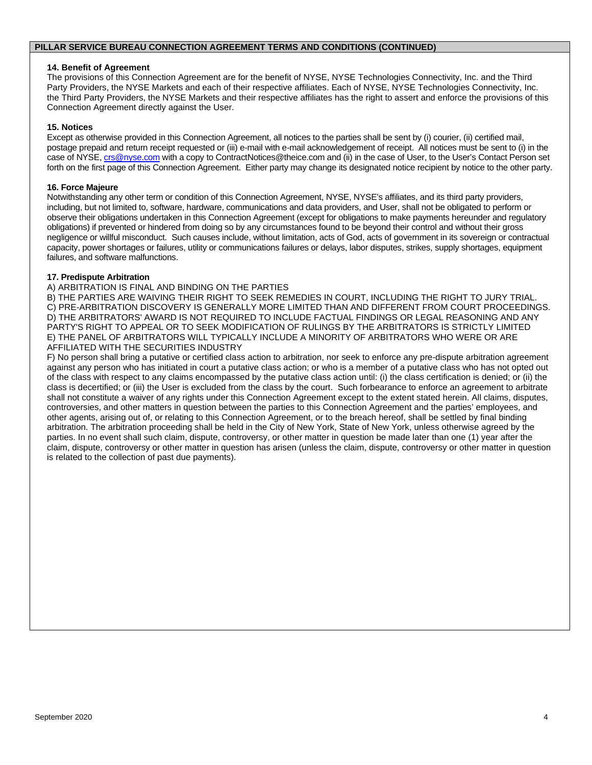#### **PILLAR SERVICE BUREAU CONNECTION AGREEMENT TERMS AND CONDITIONS (CONTINUED)**

#### **14. Benefit of Agreement**

The provisions of this Connection Agreement are for the benefit of NYSE, NYSE Technologies Connectivity, Inc. and the Third Party Providers, the NYSE Markets and each of their respective affiliates. Each of NYSE, NYSE Technologies Connectivity, Inc. the Third Party Providers, the NYSE Markets and their respective affiliates has the right to assert and enforce the provisions of this Connection Agreement directly against the User.

#### **15. Notices**

Except as otherwise provided in this Connection Agreement, all notices to the parties shall be sent by (i) courier, (ii) certified mail, postage prepaid and return receipt requested or (iii) e-mail with e-mail acknowledgement of receipt. All notices must be sent to (i) in the case of NYSE, crs@nyse.com with a copy to ContractNotices@theice.com and (ii) in the case of User, to the User's Contact Person set forth on the first page of this Connection Agreement. Either party may change its designated notice recipient by notice to the other party.

#### **16. Force Majeure**

Notwithstanding any other term or condition of this Connection Agreement, NYSE, NYSE's affiliates, and its third party providers, including, but not limited to, software, hardware, communications and data providers, and User, shall not be obligated to perform or observe their obligations undertaken in this Connection Agreement (except for obligations to make payments hereunder and regulatory obligations) if prevented or hindered from doing so by any circumstances found to be beyond their control and without their gross negligence or willful misconduct. Such causes include, without limitation, acts of God, acts of government in its sovereign or contractual capacity, power shortages or failures, utility or communications failures or delays, labor disputes, strikes, supply shortages, equipment failures, and software malfunctions.

#### **17. Predispute Arbitration**

A) ARBITRATION IS FINAL AND BINDING ON THE PARTIES

B) THE PARTIES ARE WAIVING THEIR RIGHT TO SEEK REMEDIES IN COURT, INCLUDING THE RIGHT TO JURY TRIAL. C) PRE-ARBITRATION DISCOVERY IS GENERALLY MORE LIMITED THAN AND DIFFERENT FROM COURT PROCEEDINGS. D) THE ARBITRATORS' AWARD IS NOT REQUIRED TO INCLUDE FACTUAL FINDINGS OR LEGAL REASONING AND ANY PARTY'S RIGHT TO APPEAL OR TO SEEK MODIFICATION OF RULINGS BY THE ARBITRATORS IS STRICTLY LIMITED E) THE PANEL OF ARBITRATORS WILL TYPICALLY INCLUDE A MINORITY OF ARBITRATORS WHO WERE OR ARE AFFILIATED WITH THE SECURITIES INDUSTRY

F) No person shall bring a putative or certified class action to arbitration, nor seek to enforce any pre-dispute arbitration agreement against any person who has initiated in court a putative class action; or who is a member of a putative class who has not opted out of the class with respect to any claims encompassed by the putative class action until: (i) the class certification is denied; or (ii) the class is decertified; or (iii) the User is excluded from the class by the court. Such forbearance to enforce an agreement to arbitrate shall not constitute a waiver of any rights under this Connection Agreement except to the extent stated herein. All claims, disputes, controversies, and other matters in question between the parties to this Connection Agreement and the parties' employees, and other agents, arising out of, or relating to this Connection Agreement, or to the breach hereof, shall be settled by final binding arbitration. The arbitration proceeding shall be held in the City of New York, State of New York, unless otherwise agreed by the parties. In no event shall such claim, dispute, controversy, or other matter in question be made later than one (1) year after the claim, dispute, controversy or other matter in question has arisen (unless the claim, dispute, controversy or other matter in question is related to the collection of past due payments).